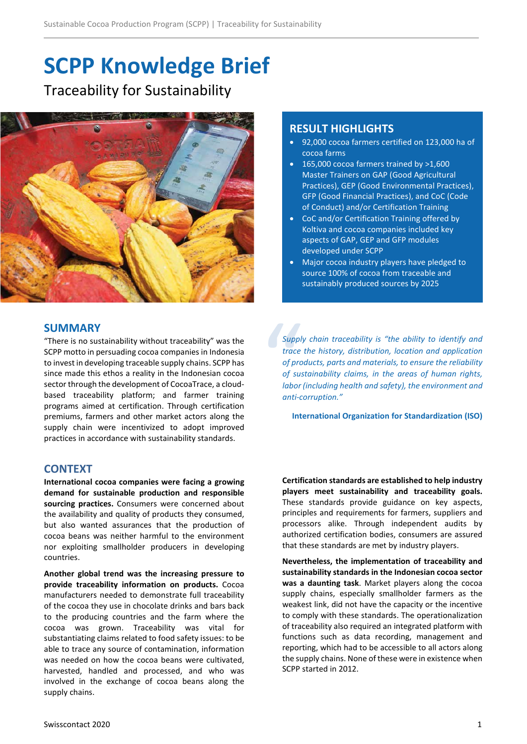# **SCPP Knowledge Brief** Traceability for Sustainability



#### **SUMMARY**

"There is no sustainability without traceability" was the SCPP motto in persuading cocoa companies in Indonesia to invest in developing traceable supply chains. SCPP has since made this ethos a reality in the Indonesian cocoa sector through the development of CocoaTrace, a cloudbased traceability platform; and farmer training programs aimed at certification. Through certification premiums, farmers and other market actors along the supply chain were incentivized to adopt improved practices in accordance with sustainability standards.

## **CONTEXT**

**International cocoa companies were facing a growing demand for sustainable production and responsible sourcing practices.** Consumers were concerned about the availability and quality of products they consumed, but also wanted assurances that the production of cocoa beans was neither harmful to the environment nor exploiting smallholder producers in developing countries.

**Another global trend was the increasing pressure to provide traceability information on products.** Cocoa manufacturers needed to demonstrate full traceability of the cocoa they use in chocolate drinks and bars back to the producing countries and the farm where the cocoa was grown. Traceability was vital for substantiating claims related to food safety issues: to be able to trace any source of contamination, information was needed on how the cocoa beans were cultivated, harvested, handled and processed, and who was involved in the exchange of cocoa beans along the supply chains.

# **RESULT HIGHLIGHTS**

- 92,000 cocoa farmers certified on 123,000 ha of cocoa farms
- 165,000 cocoa farmers trained by >1,600 Master Trainers on GAP (Good Agricultural Practices), GEP (Good Environmental Practices), GFP (Good Financial Practices), and CoC (Code of Conduct) and/or Certification Training
- CoC and/or Certification Training offered by Koltiva and cocoa companies included key aspects of GAP, GEP and GFP modules developed under SCPP
- Major cocoa industry players have pledged to source 100% of cocoa from traceable and sustainably produced sources by 2025

Suppl<br>trace<br>of prc<br>of sus<br>labor<br>anti-c *Supply chain traceability is "the ability to identify and trace the history, distribution, location and application of products, parts and materials, to ensure the reliability of sustainability claims, in the areas of human rights, labor (including health and safety), the environment and anti-corruption."*

**International Organization for Standardization (ISO)**

**Certification standards are established to help industry players meet sustainability and traceability goals.**  These standards provide guidance on key aspects, principles and requirements for farmers, suppliers and processors alike. Through independent audits by authorized certification bodies, consumers are assured that these standards are met by industry players.

**Nevertheless, the implementation of traceability and sustainability standards in the Indonesian cocoa sector was a daunting task**. Market players along the cocoa supply chains, especially smallholder farmers as the weakest link, did not have the capacity or the incentive to comply with these standards. The operationalization of traceability also required an integrated platform with functions such as data recording, management and reporting, which had to be accessible to all actors along the supply chains. None of these were in existence when SCPP started in 2012.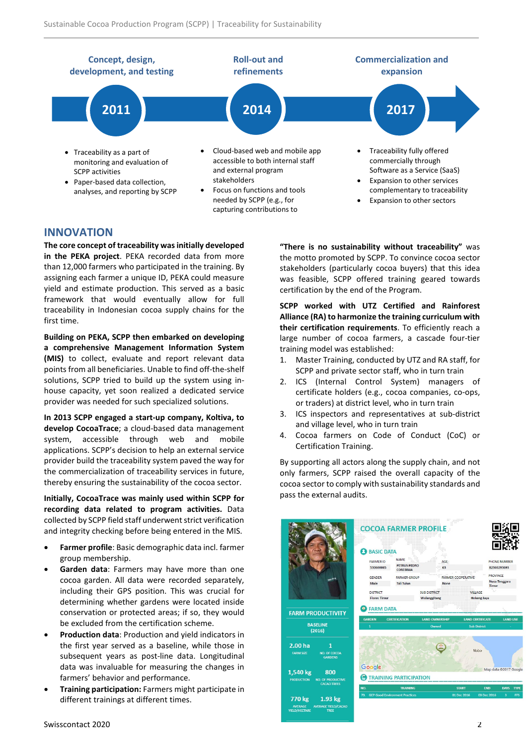

### **INNOVATION**

**The core concept of traceability was initially developed in the PEKA project**. PEKA recorded data from more than 12,000 farmers who participated in the training. By assigning each farmer a unique ID, PEKA could measure yield and estimate production. This served as a basic framework that would eventually allow for full traceability in Indonesian cocoa supply chains for the first time.

**Building on PEKA, SCPP then embarked on developing a comprehensive Management Information System (MIS)** to collect, evaluate and report relevant data points from all beneficiaries. Unable to find off-the-shelf solutions, SCPP tried to build up the system using inhouse capacity, yet soon realized a dedicated service provider was needed for such specialized solutions.

**In 2013 SCPP engaged a start-up company, Koltiva, to develop CocoaTrace**; a cloud-based data management system, accessible through web and mobile applications. SCPP's decision to help an external service provider build the traceability system paved the way for the commercialization of traceability services in future, thereby ensuring the sustainability of the cocoa sector.

**Initially, CocoaTrace was mainly used within SCPP for recording data related to program activities.** Data collected by SCPP field staff underwent strict verification and integrity checking before being entered in the MIS.

- **Farmer profile**: Basic demographic data incl. farmer group membership.
- **Garden data**: Farmers may have more than one cocoa garden. All data were recorded separately, including their GPS position. This was crucial for determining whether gardens were located inside conservation or protected areas; if so, they would be excluded from the certification scheme.
- **Production data**: Production and yield indicators in the first year served as a baseline, while those in subsequent years as post-line data. Longitudinal data was invaluable for measuring the changes in farmers' behavior and performance.
- **Training participation:** Farmers might participate in different trainings at different times.

**"There is no sustainability without traceability"** was the motto promoted by SCPP. To convince cocoa sector stakeholders (particularly cocoa buyers) that this idea was feasible, SCPP offered training geared towards certification by the end of the Program.

**SCPP worked with UTZ Certified and Rainforest Alliance (RA) to harmonize the training curriculum with their certification requirements**. To efficiently reach a large number of cocoa farmers, a cascade four-tier training model was established:

- 1. Master Training, conducted by UTZ and RA staff, for SCPP and private sector staff, who in turn train
- 2. ICS (Internal Control System) managers of certificate holders (e.g., cocoa companies, co-ops, or traders) at district level, who in turn train
- 3. ICS inspectors and representatives at sub-district and village level, who in turn train
- 4. Cocoa farmers on Code of Conduct (CoC) or Certification Training.

By supporting all actors along the supply chain, and not only farmers, SCPP raised the overall capacity of the cocoa sector to comply with sustainability standards and pass the external audits.

| collected by SCPP field staff underwent strict verification<br>and integrity checking before being entered in the MIS.                                                                                                                                                                                                                                                      |                                                                                                            | <b>COCOA FARMER PROFILE</b>                                                                                                                                                                                                |                                                         |                                                                 |                                                                 |
|-----------------------------------------------------------------------------------------------------------------------------------------------------------------------------------------------------------------------------------------------------------------------------------------------------------------------------------------------------------------------------|------------------------------------------------------------------------------------------------------------|----------------------------------------------------------------------------------------------------------------------------------------------------------------------------------------------------------------------------|---------------------------------------------------------|-----------------------------------------------------------------|-----------------------------------------------------------------|
| <b>Farmer profile:</b> Basic demographic data incl. farmer<br>$\bullet$<br>group membership.<br>Garden data: Farmers may have more than one<br>$\bullet$<br>cocoa garden. All data were recorded separately,<br>including their GPS position. This was crucial for<br>determining whether gardens were located inside<br>conservation or protected areas; if so, they would |                                                                                                            | <b>BASIC DATA</b><br><b>NAME</b><br><b>FARMER ID</b><br><b>PETRUS PEDRO</b><br>530600065<br><b>COREBIMA</b><br><b>GENDER</b><br><b>FARMER GROUP</b><br>Male<br><b>Tali Tulun</b><br><b>DISTRICT</b><br><b>Flores Timur</b> | <b>AGE</b><br>63<br><b>SUB DISTRICT</b><br>Wulanggitang | <b>FARMER COOPERATI</b><br><b>VILLAGE</b><br><b>Hokeng Jaya</b> | PHONE NUMBER<br>82340293695<br>PROVINCE<br><b>Nusa Tenggara</b> |
|                                                                                                                                                                                                                                                                                                                                                                             | <b>FARM PRODUCTIVITY</b>                                                                                   | <b>B</b> FARM DATA                                                                                                                                                                                                         |                                                         |                                                                 |                                                                 |
| be excluded from the certification scheme.                                                                                                                                                                                                                                                                                                                                  | <b>BASELINE</b>                                                                                            | <b>GARDEN</b><br><b>CERTIFICATION</b>                                                                                                                                                                                      | <b>LAND OWNERSHIP</b><br>Owned                          | <b>LAND CERTIFICATE</b><br><b>Sub District</b>                  | <b>LAND USE</b>                                                 |
| <b>Production data: Production and yield indicators in</b><br>$\bullet$                                                                                                                                                                                                                                                                                                     | (2016)                                                                                                     |                                                                                                                                                                                                                            |                                                         |                                                                 |                                                                 |
| the first year served as a baseline, while those in<br>subsequent years as post-line data. Longitudinal                                                                                                                                                                                                                                                                     | 2.00 ha<br><b>FARM SIZE</b><br><b>NO. OF COCOA</b><br><b>GARDENS</b>                                       |                                                                                                                                                                                                                            |                                                         | Nobo                                                            |                                                                 |
| data was invaluable for measuring the changes in                                                                                                                                                                                                                                                                                                                            | 1.540 kg<br>800                                                                                            | Google                                                                                                                                                                                                                     |                                                         |                                                                 | Map data @2017 Google                                           |
| farmers' behavior and performance.                                                                                                                                                                                                                                                                                                                                          | <b>NO. OF PRODUCTIVE</b><br><b>PRODUCTION</b><br><b>CACAO TREES</b>                                        | TRAINING PARTICIPATION                                                                                                                                                                                                     |                                                         |                                                                 |                                                                 |
| Training participation: Farmers might participate in<br>$\bullet$                                                                                                                                                                                                                                                                                                           |                                                                                                            | <b>TRAINING</b><br>NO.<br>73. GEP Good Environment Practices                                                                                                                                                               |                                                         | <b>START</b><br><b>END</b><br>01 Dec 2016                       | <b>DAYS TYPE</b><br>FFS                                         |
| different trainings at different times.                                                                                                                                                                                                                                                                                                                                     | 770 kg<br>$1.93$ kg<br><b>AVERAGE</b><br><b>AVERAGE YIELD/CACAO</b><br><b>YIELD/HECTARE</b><br><b>TREE</b> |                                                                                                                                                                                                                            |                                                         | 03 Dec 2016                                                     |                                                                 |
| Swisscontact 2020                                                                                                                                                                                                                                                                                                                                                           |                                                                                                            |                                                                                                                                                                                                                            |                                                         |                                                                 |                                                                 |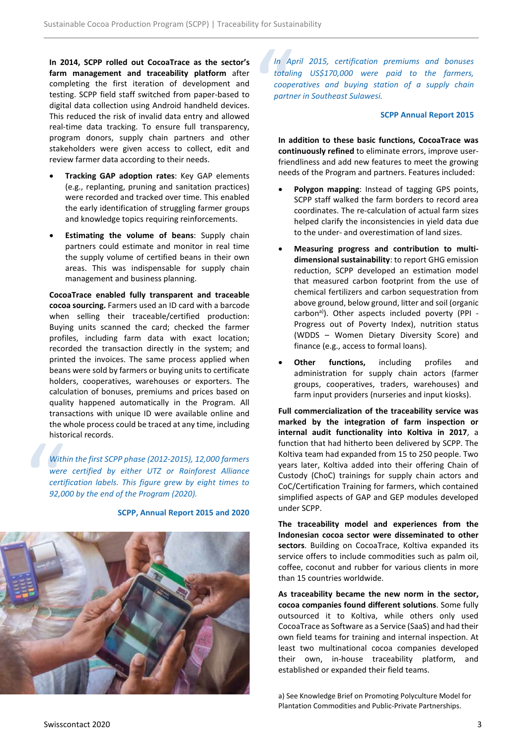**In 2014, SCPP rolled out CocoaTrace as the sector's farm management and traceability platform** after completing the first iteration of development and testing. SCPP field staff switched from paper-based to digital data collection using Android handheld devices. This reduced the risk of invalid data entry and allowed real-time data tracking. To ensure full transparency, program donors, supply chain partners and other stakeholders were given access to collect, edit and review farmer data according to their needs.

- **Tracking GAP adoption rates**: Key GAP elements (e.g., replanting, pruning and sanitation practices) were recorded and tracked over time. This enabled the early identification of struggling farmer groups and knowledge topics requiring reinforcements.
- **Estimating the volume of beans**: Supply chain partners could estimate and monitor in real time the supply volume of certified beans in their own areas. This was indispensable for supply chain management and business planning.

**CocoaTrace enabled fully transparent and traceable cocoa sourcing.** Farmers used an ID card with a barcode when selling their traceable/certified production: Buying units scanned the card; checked the farmer profiles, including farm data with exact location; recorded the transaction directly in the system; and printed the invoices. The same process applied when beans were sold by farmers or buying units to certificate holders, cooperatives, warehouses or exporters. The calculation of bonuses, premiums and prices based on quality happened automatically in the Program. All transactions with unique ID were available online and the whole process could be traced at any time, including historical records.

mstc<br>
With<br>
were<br>
certi<br>
92,0 *Within the first SCPP phase (2012-2015), 12,000 farmers were certified by either UTZ or Rainforest Alliance certification labels. This figure grew by eight times to 92,000 by the end of the Program (2020).*



**SCPP, Annual Report 2015 and 2020**

In Aptornal<br>totalin<br>coope<br>partn *In April 2015, certification premiums and bonuses totaling US\$170,000 were paid to the farmers, cooperatives and buying station of a supply chain partner in Southeast Sulawesi.*

#### **SCPP Annual Report 2015**

**In addition to these basic functions, CocoaTrace was continuously refined** to eliminate errors, improve userfriendliness and add new features to meet the growing needs of the Program and partners. Features included:

- **Polygon mapping**: Instead of tagging GPS points, SCPP staff walked the farm borders to record area coordinates. The re-calculation of actual farm sizes helped clarify the inconsistencies in yield data due to the under- and overestimation of land sizes.
- **Measuring progress and contribution to multidimensional sustainability**: to report GHG emission reduction, SCPP developed an estimation model that measured carbon footprint from the use of chemical fertilizers and carbon sequestration from above ground, below ground, litter and soil (organic carbon<sup>a)</sup>). Other aspects included poverty (PPI -Progress out of Poverty Index), nutrition status (WDDS – Women Dietary Diversity Score) and finance (e.g., access to formal loans).
- **Other functions,** including profiles and administration for supply chain actors (farmer groups, cooperatives, traders, warehouses) and farm input providers (nurseries and input kiosks).

**Full commercialization of the traceability service was marked by the integration of farm inspection or internal audit functionality into Koltiva in 2017**, a function that had hitherto been delivered by SCPP. The Koltiva team had expanded from 15 to 250 people. Two years later, Koltiva added into their offering Chain of Custody (ChoC) trainings for supply chain actors and CoC/Certification Training for farmers, which contained simplified aspects of GAP and GEP modules developed under SCPP.

**The traceability model and experiences from the Indonesian cocoa sector were disseminated to other sectors**. Building on CocoaTrace, Koltiva expanded its service offers to include commodities such as palm oil, coffee, coconut and rubber for various clients in more than 15 countries worldwide.

**As traceability became the new norm in the sector, cocoa companies found different solutions**. Some fully outsourced it to Koltiva, while others only used CocoaTrace as Software as a Service (SaaS) and had their own field teams for training and internal inspection. At least two multinational cocoa companies developed their own, in-house traceability platform, and established or expanded their field teams.

a) See Knowledge Brief on Promoting Polyculture Model for Plantation Commodities and Public-Private Partnerships.